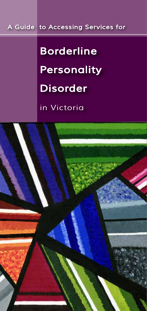# *A Guide to Accessing Services for*

# *Borderline Personality Disorder*

*in Victoria*

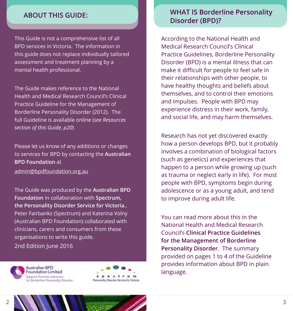## **ABOUT THIS GUIDE:**

This Guide is not a comprehensive list of all BPD services in Victoria. The information in this guide does not replace individually tailored assessment and treatment planning by a mental health professional.

The Guide makes reference to the National Health and Medical Research Council's Clinical Practice Guideline for the Management of Borderline Personality Disorder (2012). The full Guideline is available online (*see Resources section of this Guide, p20*)

Please let us know of any additions or changes to services for BPD by contacting the **Australian BPD Foundation** at

admin@bpdfoundation.org.au

The Guide was produced by the **Australian BPD Foundation** in collaboration with **Spectrum, the Personality Disorder Service for Victoria.**. Peter Fairbanks (Spectrum) and Katerina Volny (Australian BPD Foundation) collaborated with clinicians, carers and consumers from these organisations to write this guide.

2nd Edition June 2016



**Australian BPD Foundation Limited** Support Promote Advacate for Borderline Personality Disorder



# **WHAT IS Borderline Personality Disorder (BPD)?**

According to the National Health and Medical Research Council's Clinical Practice Guidelines, Borderline Personality Disorder (BPD) is a mental illness that can make it difficult for people to feel safe in their relationships with other people, to have healthy thoughts and beliefs about themselves, and to control their emotions and impulses. People with BPD may experience distress in their work, family, and social life, and may harm themselves.

Research has not yet discovered exactly how a person develops BPD, but it probably involves a combination of biological factors (such as genetics) and experiences that happen to a person while growing up (such as trauma or neglect early in life). For most people with BPD, symptoms begin during adolescence or as a young adult, and tend to improve during adult life.

You can read more about this in the National Health and Medical Research Council's **Clinical Practice Guidelines for the Management of Borderline Personality Disorder**. The summary provided on pages 1 to 4 of the Guideline provides information about BPD in plain language.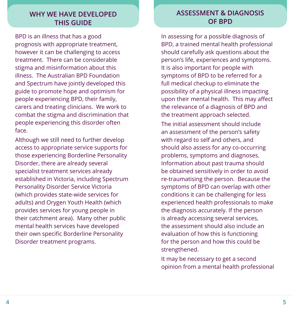# **WHY WE HAVE DEVELOPED THIS GUIDE**

BPD is an illness that has a good prognosis with appropriate treatment, however it can be challenging to access treatment. There can be considerable stigma and misinformation about this illness. The Australian BPD Foundation and Spectrum have jointly developed this guide to promote hope and optimism for people experiencing BPD, their family, carers and treating clinicians. We work to combat the stigma and discrimination that people experiencing this disorder often face.

Although we still need to further develop access to appropriate service supports for those experiencing Borderline Personality Disorder, there are already several specialist treatment services already established in Victoria, including Spectrum Personality Disorder Service Victoria (which provides state-wide services for adults) and Orygen Youth Health (which provides services for young people in their catchment area). Many other public mental health services have developed their own specific Borderline Personality Disorder treatment programs.

# **ASSESSMENT & DIAGNOSIS OF BPD**

In assessing for a possible diagnosis of BPD, a trained mental health professional should carefully ask questions about the person's life, experiences and symptoms. It is also important for people with symptoms of BPD to be referred for a full medical checkup to eliminate the possibility of a physical illness impacting upon their mental health. This may affect the relevance of a diagnosis of BPD and the treatment approach selected.

The initial assessment should include an assessment of the person's safety with regard to self and others, and should also assess for any co-occurring problems, symptoms and diagnoses. Information about past trauma should be obtained sensitively in order to avoid re-traumatising the person. Because the symptoms of BPD can overlap with other conditions it can be challenging for less experienced health professionals to make the diagnosis accurately. If the person is already accessing several services, the assessment should also include an evaluation of how this is functioning for the person and how this could be strengthened.

It may be necessary to get a second opinion from a mental health professional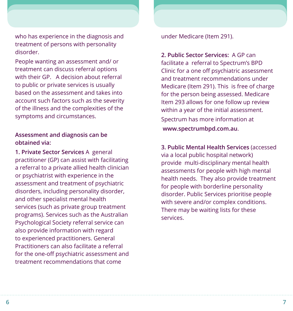who has experience in the diagnosis and treatment of persons with personality disorder.

People wanting an assessment and/ or treatment can discuss referral options with their GP. A decision about referral to public or private services is usually based on the assessment and takes into account such factors such as the severity of the illness and the complexities of the symptoms and circumstances.

#### **Assessment and diagnosis can be obtained via:**

**1. Private Sector Services** A general practitioner (GP) can assist with facilitating a referral to a private allied health clinician or psychiatrist with experience in the assessment and treatment of psychiatric disorders, including personality disorder, and other specialist mental health services (such as private group treatment programs). Services such as the Australian Psychological Society referral service can also provide information with regard to experienced practitioners. General Practitioners can also facilitate a referral for the one-off psychiatric assessment and treatment recommendations that come

under Medicare (Item 291).

**2. Public Sector Services:** A GP can facilitate a referral to Spectrum's BPD Clinic for a one off psychiatric assessment and treatment recommendations under Medicare (Item 291). This is free of charge for the person being assessed. Medicare Item 293 allows for one follow up review within a year of the initial assessment.

Spectrum has more information at  **www.spectrumbpd.com.au**.

**3. Public Mental Health Services** (accessed via a local public hospital network) provide multi-disciplinary mental health assessments for people with high mental health needs. They also provide treatment for people with borderline personality disorder. Public Services prioritise people with severe and/or complex conditions. There may be waiting lists for these services.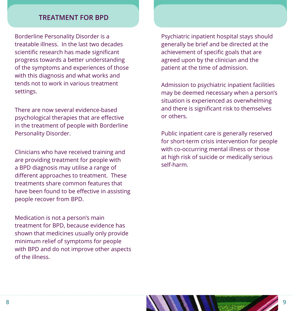# **TREATMENT FOR BPD**

Borderline Personality Disorder is a treatable illness. In the last two decades scientific research has made significant progress towards a better understanding of the symptoms and experiences of those with this diagnosis and what works and tends not to work in various treatment settings.

There are now several evidence-based psychological therapies that are effective in the treatment of people with Borderline Personality Disorder.

Clinicians who have received training and are providing treatment for people with a BPD diagnosis may utilise a range of different approaches to treatment. These treatments share common features that have been found to be effective in assisting people recover from BPD.

Medication is not a person's main treatment for BPD, because evidence has shown that medicines usually only provide minimum relief of symptoms for people with BPD and do not improve other aspects of the illness.

Psychiatric inpatient hospital stays should generally be brief and be directed at the achievement of specific goals that are agreed upon by the clinician and the patient at the time of admission.

Admission to psychiatric inpatient facilities may be deemed necessary when a person's situation is experienced as overwhelming and there is significant risk to themselves or others.

Public inpatient care is generally reserved for short-term crisis intervention for people with co-occurring mental illness or those at high risk of suicide or medically serious self-harm.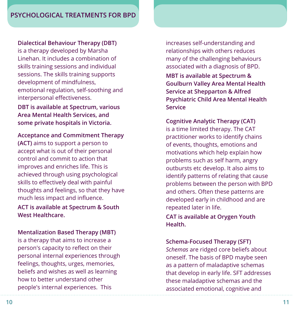#### **Dialectical Behaviour Therapy (DBT)**

is a therapy developed by Marsha Linehan. It includes a combination of skills training sessions and individual sessions. The skills training supports development of mindfulness, emotional regulation, self-soothing and interpersonal effectiveness.

**DBT is available at Spectrum, various Area Mental Health Services, and some private hospitals in Victoria.**

#### **Acceptance and Commitment Therapy**

**(ACT)** aims to support a person to accept what is out of their personal control and commit to action that improves and enriches life. This is achieved through using psychological skills to effectively deal with painful thoughts and feelings, so that they have much less impact and influence.

**ACT is available at Spectrum & South West Healthcare.**

#### **Mentalization Based Therapy (MBT)**

is a therapy that aims to increase a person's capacity to reflect on their personal internal experiences through feelings, thoughts, urges, memories, beliefs and wishes as well as learning how to better understand other people's internal experiences. This

increases self-understanding and relationships with others reduces many of the challenging behaviours associated with a diagnosis of BPD.

**MBT is available at Spectrum & Goulburn Valley Area Mental Health Service at Shepparton & Alfred Psychiatric Child Area Mental Health Service**

#### **Cognitive Analytic Therapy (CAT)**

is a time limited therapy. The CAT practitioner works to identify chains of events, thoughts, emotions and motivations which help explain how problems such as self harm, angry outbursts etc develop. It also aims to identify patterns of relating that cause problems between the person with BPD and others. Often these patterns are developed early in childhood and are repeated later in life.

**CAT is available at Orygen Youth Health.**

#### **Schema-Focused Therapy (SFT)**

*Schemas* are ridged core beliefs about oneself. The basis of BPD maybe seen as a pattern of maladaptive schemas that develop in early life. SFT addresses these maladaptive schemas and the associated emotional, cognitive and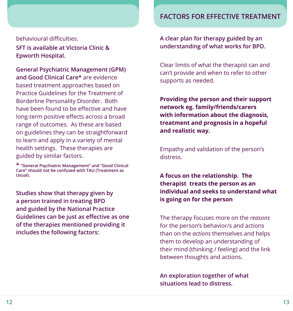#### behavioural difficulties.

**SFT is available at Victoria Clinic & Epworth Hospital.**

**General Psychiatric Management (GPM) and Good Clinical Care\*** are evidence based treatment approaches based on Practice Guidelines for the Treatment of Borderline Personality Disorder. Both have been found to be effective and have long-term positive effects across a broad range of outcomes. As these are based on guidelines they can be straightforward to learn and apply in a variety of mental health settings. These therapies are guided by similar factors.

**\* "General Psychiatric Management" and "Good Clinical Care" should not be confused with TAU (Treatment as Usual).**

**Studies show that therapy given by a person trained in treating BPD and guided by the National Practice Guidelines can be just as effective as one of the therapies mentioned providing it includes the following factors:**

## **FACTORS FOR EFFECTIVE TREATMENT**

**A clear plan for therapy guided by an understanding of what works for BPD.**

Clear limits of what the therapist can and can't provide and when to refer to other supports as needed.

**Providing the person and their support network eg. family/friends/carers with information about the diagnosis, treatment and prognosis in a hopeful and realistic way.**

Empathy and validation of the person's distress.

**A focus on the relationship. The therapist treats the person as an individual and seeks to understand what is going on for the person**

The therapy focuses more on the *reasons* for the person's behavior/s and actions than on the *actions* themselves and helps them to develop an understanding of their mind (thinking / feeling) and the link between thoughts and actions**.**

**An exploration together of what situations lead to distress.**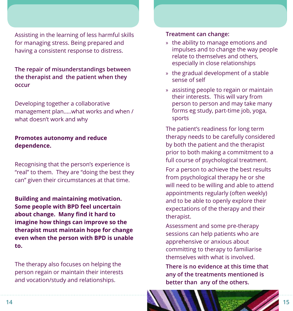Assisting in the learning of less harmful skills for managing stress. Being prepared and having a consistent response to distress.

**The repair of misunderstandings between the therapist and the patient when they occur**

Developing together a collaborative management plan…..what works and when / what doesn't work and why

#### **Promotes autonomy and reduce dependence.**

Recognising that the person's experience is "real" to them. They are "doing the best they can" given their circumstances at that time.

**Building and maintaining motivation. Some people with BPD feel uncertain about change. Many find it hard to imagine how things can improve so the therapist must maintain hope for change even when the person with BPD is unable to.**

The therapy also focuses on helping the person regain or maintain their interests and vocation/study and relationships.

#### **Treatment can change:**

- » the ability to manage emotions and impulses and to change the way people relate to themselves and others, especially in close relationships
- » the gradual development of a stable sense of self
- » assisting people to regain or maintain their interests. This will vary from person to person and may take many forms eg study, part-time job, yoga, sports

The patient's readiness for long term therapy needs to be carefully considered by both the patient and the therapist prior to both making a commitment to a full course of psychological treatment.

For a person to achieve the best results from psychological therapy he or she will need to be willing and able to attend appointments regularly (often weekly) and to be able to openly explore their expectations of the therapy and their therapist.

Assessment and some pre-therapy sessions can help patients who are apprehensive or anxious about committing to therapy to familiarise themselves with what is involved.

**There is no evidence at this time that any of the treatments mentioned is better than any of the others.**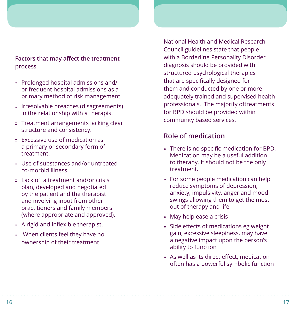## **Factors that may affect the treatment process**

- » Prolonged hospital admissions and/ or frequent hospital admissions as a primary method of risk management.
- » Irresolvable breaches (disagreements) in the relationship with a therapist.
- » Treatment arrangements lacking clear structure and consistency.
- » Excessive use of medication as a primary or secondary form of treatment.
- » Use of substances and/or untreated co-morbid illness.
- » Lack of a treatment and/or crisis plan, developed and negotiated by the patient and the therapist and involving input from other practitioners and family members (where appropriate and approved).
- » A rigid and inflexible therapist.
- » When clients feel they have no ownership of their treatment.

National Health and Medical Research Council guidelines state that people with a Borderline Personality Disorder diagnosis should be provided with structured psychological therapies that are specifically designed for them and conducted by one or more adequately trained and supervised health professionals. The majority oftreatments for BPD should be provided within community based services.

# **Role of medication**

- » There is no specific medication for BPD. Medication may be a useful addition to therapy. It should not be the only treatment.
- » For some people medication can help reduce symptoms of depression, anxiety, impulsivity, anger and mood swings allowing them to get the most out of therapy and life
- » May help ease a crisis
- » Side effects of medications eg weight gain, excessive sleepiness, may have a negative impact upon the person's ability to function
- » As well as its direct effect, medication often has a powerful symbolic function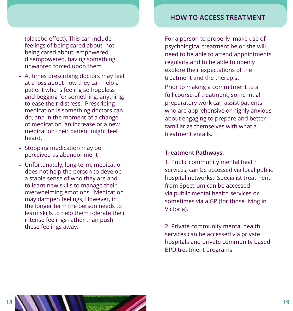# **HOW TO ACCESS TREATMENT**

(placebo effect). This can include feelings of being cared about, not being cared about, empowered, disempowered, having something unwanted forced upon them.

- » At times prescribing doctors may feel at a loss about how they can help a patient who is feeling so hopeless and begging for something, anything, to ease their distress. Prescribing medication is something doctors can do, and in the moment of a change of medication, an increase or a new medication their patient might feel heard.
- » Stopping medication may be perceived as abandonment
- » Unfortunately, long term, medication does not help the person to develop a stable sense of who they are and to learn new skills to manage their overwhelming emotions. Medication may dampen feelings, However, in the longer term the person needs to learn skills to help them tolerate their intense feelings rather than push these feelings away.

For a person to properly make use of psychological treatment he or she will need to be able to attend appointments regularly and to be able to openly explore their expectations of the treatment and the therapist.

Prior to making a commitment to a full course of treatment, some intial preparatory work can assist patients who are apprehensive or highly anxious about engaging to prepare and better familiarize themselves with what a treatment entails.

#### **Treatment Pathways:**

1. Public community mental health services, can be accessed via local public hospital networks. Specialist treatment from Spectrum can be accessed via public mental health services or sometimes via a GP (for those living in Victoria).

2. Private community mental health services can be accessed via private hospitals and private community based BPD treatment programs.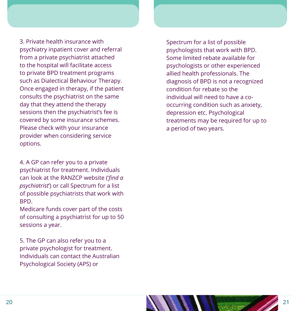3. Private health insurance with psychiatry inpatient cover and referral from a private psychiatrist attached to the hospital will facilitate access to private BPD treatment programs such as Dialectical Behaviour Therapy. Once engaged in therapy, if the patient consults the psychiatrist on the same day that they attend the therapy sessions then the psychiatrist's fee is covered by some insurance schemes. Please check with your insurance provider when considering service options.

4. A GP can refer you to a private psychiatrist for treatment. Individuals can look at the RANZCP website ('*find a psychiatrist*') or call Spectrum for a list of possible psychiatrists that work with BPD.

Medicare funds cover part of the costs of consulting a psychiatrist for up to 50 sessions a year.

5. The GP can also refer you to a private psychologist for treatment. Individuals can contact the Australian Psychological Society (APS) or

Spectrum for a list of possible psychologists that work with BPD. Some limited rebate available for psychologists or other experienced allied health professionals. The diagnosis of BPD is not a recognized condition for rebate so the individual will need to have a cooccurring condition such as anxiety, depression etc. Psychological treatments may be required for up to a period of two years.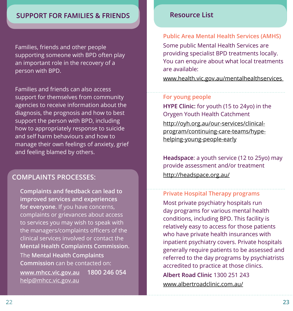# **SUPPORT FOR FAMILIES & FRIENDS**

Families, friends and other people supporting someone with BPD often play an important role in the recovery of a person with BPD.

Families and friends can also access support for themselves from community agencies to receive information about the diagnosis, the prognosis and how to best support the person with BPD, including how to appropriately response to suicide and self harm behaviours and how to manage their own feelings of anxiety, grief and feeling blamed by others.

# **COMPLAINTS PROCESSES:**

**Complaints and feedback can lead to improved services and experiences for everyone**. If you have concerns, complaints or grievances about access to services you may wish to speak with the managers/complaints officers of the clinical services involved or contact the **Mental Health Complaints Commission.**  The **Mental Health Complaints Commission** can be contacted on: **www.mhcc.vic.gov.au 1800 246 054**  help@mhcc.vic.gov.au

## **Resource List**

#### **Public Area Mental Health Services (AMHS)**

Some public Mental Health Services are providing specialist BPD treatments locally. You can enquire about what local treatments are available:

www.health.vic.gov.au/mentalhealthservices

#### **For young people**

**HYPE Clinic:** for youth (15 to 24yo) in the Orygen Youth Health Catchment

http://oyh.org.au/our-services/clinicalprogram/continuing-care-teams/hypehelping-young-people-early

**Headspace**: a youth service (12 to 25yo) may provide assessment and/or treatment http://headspace.org.au/

#### **Private Hospital Therapy programs**

Most private psychiatry hospitals run day programs for various mental health conditions, including BPD. This facility is relatively easy to access for those patients who have private health insurances with inpatient psychiatry covers. Private hospitals generally require patients to be assessed and referred to the day programs by psychiatrists accredited to practice at those clinics.

**Albert Road Clinic** 1300 251 243 www.albertroadclinic.com.au/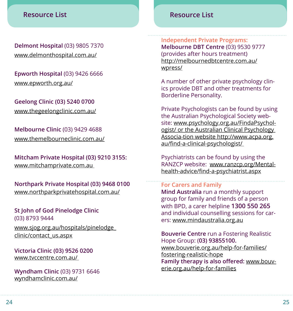# **Resource List**

**Delmont Hospital** (03) 9805 7370 www.delmonthospital.com.au/

**Epworth Hospital** (03) 9426 6666 www.epworth.org.au/

**Geelong Clinic (03) 5240 0700** www.thegeelongclinic.com.au/

**Melbourne Clinic** (03) 9429 4688 www.themelbourneclinic.com.au/

**Mitcham Private Hospital (03) 9210 3155:**  www.mitchamprivate.com.au

**Northpark Private Hospital (03) 9468 0100**  www.northparkprivatehospital.com.au/

**St John of God Pinelodge Clinic**  (03) 8793 9444

www.sjog.org.au/hospitals/pinelodge\_ clinic/contact\_us.aspx

**Victoria Clinic (03) 9526 0200**  www.tvccentre.com.au/

**Wyndham Clinic** (03) 9731 6646 wyndhamclinic.com.au/

# **Resource List**

**Independent Private Programs: Melbourne DBT Centre** (03) 9530 9777 (provides after hours treatment) http://melbournedbtcentre.com.au/ wpress/

A number of other private psychology clinics provide DBT and other treatments for Borderline Personality.

Private Psychologists can be found by using the Australian Psychological Society website: www.psychology.org.au/FindaPsychologist/ or the Australian Clinical Psychology Associa-tion website http://www.acpa.org. au/find-a-clinical-psychologist/

Psychiatrists can be found by using the RANZCP website: www.ranzcp.org/Mentalhealth-advice/find-a-psychiatrist.aspx

## **For Carers and Family**

**Mind Australia** run a monthly support group for family and friends of a person with BPD, a carer helpline **1300 550 265**  and individual counselling sessions for carers: www.mindaustralia.org.au

**Bouverie Centre** run a Fostering Realistic Hope Group: (**03) 93855100.**

www.bouverie.org.au/help-for-families/ fostering-realistic-hope **Family therapy is also offered:** www.bouverie.org.au/help-for-families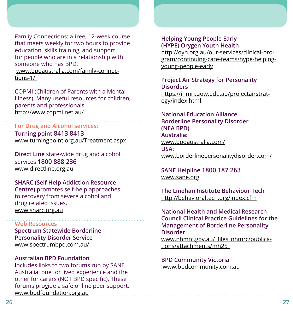Family Connections: a free, 12-week course that meets weekly for two hours to provide education, skills training, and support for people who are in a relationship with someone who has BPD. www.bpdaustralia.com/family-connections-1/

COPMI (Children of Parents with a Mental Illness). Many useful resources for children, parents and professionals http://www.copmi.net.au/

### **For Drug and Alcohol services: Turning point 8413 8413** www.turningpoint.org.au/Treatment.aspx

**Direct Line** state-wide drug and alcohol services **1800 888 236** www.directline.org.au

## **SHARC (Self Help Addiction Resource**

**Centre)** promotes self-help approaches to recovery from severe alcohol and drug related issues. www.sharc.org.au

#### **Web Resources**

**Spectrum Statewide Borderline Personality Disorder Service** www.spectrumbpd.com.au/

## **Australian BPD Foundation**

Includes links to two forums run by SANE Australia: one for lived experience and the other for carers (NOT BPD specific). These forums provide a safe online peer support. www.bpdfoundation.org.au

## **Helping Young People Early (HYPE) Orygen Youth Health**

http://oyh.org.au/our-services/clinical-program/continuing-care-teams/hype-helpingyoung-people-early

# **Project Air Strategy for Personality Disorders**

https://ihmri.uow.edu.au/projectairstrategy/index.html

#### **National Education Alliance Borderline Personality Disorder (NEA BPD) Australia:** www.bpdaustralia.com/ **USA:**  www.borderlinepersonalitydisorder.com/

**SANE Helpline 1800 187 263** www.sane.org

**The Linehan Institute Behaviour Tech** http://behavioraltech.org/index.cfm

**National Health and Medical Research Council Clinical Practice Guidelines for the Management of Borderline Personality Disorder**

www.nhmrc.gov.au/\_files\_nhmrc/publications/attachments/mh25\_

#### **BPD Community Victoria** www.bpdcommunity.com.au